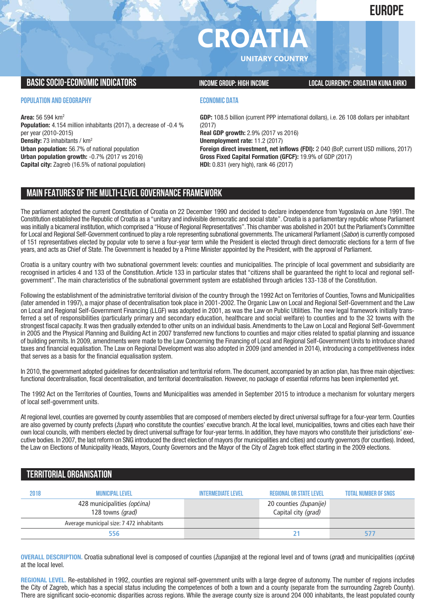# **EUROPE**

# **CROATIA**

**UNITARY COUNTRY**

# **BASICSOCIO-ECONOMICINDICATORS INCOMEGROUP: HIGH INCOME LOCALCURRENCY:CROATIAN KUNA (HRK)**

## **POPULATION AND GEOGRAPHY**

**Area:** 56 594 km2 **Population:** 4.154 million inhabitants (2017), a decrease of -0.4 % per year (2010-2015) **Density:** 73 inhabitants / km2 **Urban population:** 56.7% of national population **Urban population growth:** -0.7% (2017 vs 2016) **Capital city:** Zagreb (16.5% of national population)

# **ECONOMIC DATA**

**GDP:** 108.5 billion (current PPP international dollars), i.e. 26 108 dollars per inhabitant (2017) **Real GDP growth:** 2.9% (2017 vs 2016) **Unemployment rate:** 11.2 (2017) **Foreign direct investment, net inflows (FDI):** 2 040 (BoP, current USD millions, 2017) **Gross Fixed Capital Formation (GFCF):** 19.9% of GDP (2017) **HDI:** 0.831 (very high), rank 46 (2017)

# **MAIN FEATURESOFTHE MULTI-LEVELGOVERNANCEFRAMEWORK**

The parliament adopted the current Constitution of Croatia on 22 December 1990 and decided to declare independence from Yugoslavia on June 1991. The Constitution established the Republic of Croatia as a "unitary and indivisible democratic and social state". Croatia is a parliamentary republic whose Parliament was initially a bicameral institution,which comprised a "House of Regional Representatives".This chamber was abolished in 2001 but the Parliament's Committee for Local and Regional Self-Government continued to play a role representing subnational governments.The unicameral Parliament (*Sabor*) is currently composed of 151 representatives elected by popular vote to serve a four-year term while the President is elected through direct democratic elections for a term of five years, and acts as Chief of State. The Government is headed by a Prime Minister appointed by the President, with the approval of Parliament.

Croatia is a unitary country with two subnational government levels: counties and municipalities. The principle of local government and subsidiarity are recognised in articles 4 and 133 of the Constitution. Article 133 in particular states that "citizens shall be guaranteed the right to local and regional selfgovernment". The main characteristics of the subnational government system are established through articles 133-138 of the Constitution.

Following the establishment of the administrative territorial division of the country through the 1992 Act on Territories of Counties, Towns and Municipalities (later amended in 1997), a major phase of decentralisation took place in 2001-2002. The Organic Law on Local and Regional Self-Government and the Law on Local and Regional Self-Government Financing (LLGF) was adopted in 2001, as was the Law on Public Utilities. The new legal framework initially transferred a set of responsibilities (particularly primary and secondary education, healthcare and social welfare) to counties and to the 32 towns with the strongest fiscal capacity. It was then gradually extended to other units on an individual basis.Amendments to the Law on Local and Regional Self-Government in 2005 and the Physical Planning and Building Act in 2007 transferred new functions to counties and major cities related to spatial planning and issuance of building permits. In 2009, amendments were made to the Law Concerning the Financing of Local and Regional Self-Government Units to introduce shared taxes and financial equalisation. The Law on Regional Development was also adopted in 2009 (and amended in 2014), introducing a competitiveness index that serves as a basis for the financial equalisation system.

In 2010, the government adopted guidelines for decentralisation and territorial reform.The document, accompanied by an action plan, has three main objectives: functional decentralisation, fiscal decentralisation, and territorial decentralisation. However, no package of essential reforms has been implemented yet.

The 1992 Act on the Territories of Counties, Towns and Municipalities was amended in September 2015 to introduce a mechanism for voluntary mergers of local self-government units.

At regional level, counties are governed by county assemblies that are composed of members elected by direct universal suffrage for a four-year term. Counties are also governed by county prefects (*župan*) who constitute the counties' executive branch. At the local level, municipalities, towns and cities each have their own local councils, with members elected by direct universal suffrage for four-year terms. In addition, they have mayors who constitute their jurisdictions' executive bodies. In 2007, the last reform on SNG introduced the direct election of mayors (for municipalities and cities) and county governors (for counties). Indeed, the Law on Elections of Municipality Heads, Mayors, County Governors and the Mayor of the City of Zagreb took effect starting in the 2009 elections.

# **TERRITORIALORGANISATION**

| 2018 | <b>MUNICIPAL LEVEL</b>                          | <b>INTERMEDIATE LEVEL</b> | <b>REGIONAL OR STATE LEVEL</b>                | <b>TOTAL NUMBER OF SNGS</b> |
|------|-------------------------------------------------|---------------------------|-----------------------------------------------|-----------------------------|
|      | 428 municipalities (općina)<br>128 towns (grad) |                           | 20 counties (županije)<br>Capital city (grad) |                             |
|      | Average municipal size: 7 472 inhabitants       |                           |                                               |                             |
|      | 556                                             |                           |                                               |                             |

**OVERALL DESCRIPTION.** Croatia subnational level is composed of counties (*županijas*) at the regional level and of towns (*grad*) and municipalities (*općina*) at the local level.

**REGIONAL LEVEL.** Re-established in 1992, counties are regional self-government units with a large degree of autonomy. The number of regions includes the City of Zagreb, which has a special status including the competences of both a town and a county (separate from the surrounding Zagreb County). There are significant socio-economic disparities across regions. While the average county size is around 204 000 inhabitants, the least populated county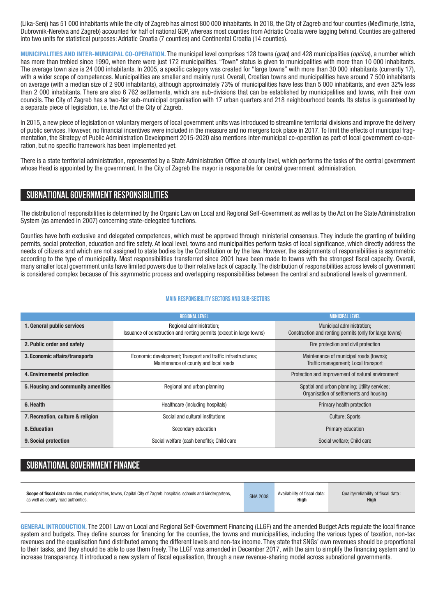(Lika-Senj) has 51 000 inhabitants while the city of Zagreb has almost 800 000 inhabitants. In 2018, the City of Zagreb and four counties (Međimurje, Istria, Dubrovnik-Neretva and Zagreb) accounted for half of national GDP, whereas most counties from Adriatic Croatia were lagging behind. Counties are gathered into two units for statistical purposes: Adriatic Croatia (7 counties) and Continental Croatia (14 counties).

**MUNICIPALITIES AND INTER-MUNICIPAL CO-OPERATION.** The municipal level comprises 128 towns (*grad*) and 428 municipalities (*općina*), a number which has more than trebled since 1990, when there were just 172 municipalities. "Town" status is given to municipalities with more than 10 000 inhabitants. The average town size is 24 000 inhabitants. In 2005, a specific category was created for "large towns" with more than 30 000 inhabitants (currently 17), with a wider scope of competences. Municipalities are smaller and mainly rural. Overall, Croatian towns and municipalities have around 7 500 inhabitants on average (with a median size of 2 900 inhabitants), although approximately 73% of municipalities have less than 5 000 inhabitants, and even 32% less than 2 000 inhabitants. There are also 6 762 settlements, which are sub-divisions that can be established by municipalities and towns, with their own councils. The City of Zagreb has a two-tier sub-municipal organisation with 17 urban quarters and 218 neighbourhood boards. Its status is guaranteed by a separate piece of legislation, i.e. the Act of the City of Zagreb.

In 2015, a new piece of legislation on voluntary mergers of local government units was introduced to streamline territorial divisions and improve the delivery of public services. However, no financial incentives were included in the measure and no mergers took place in 2017. To limit the effects of municipal fragmentation, the Strategy of Public Administration Development 2015-2020 also mentions inter-municipal co-operation as part of local government co-operation, but no specific framework has been implemented yet.

There is a state territorial administration, represented by a State Administration Office at county level, which performs the tasks of the central government whose Head is appointed by the government. In the City of Zagreb the mayor is responsible for central government administration.

# **SUBNATIONALGOVERNMENT RESPONSIBILITIES**

The distribution of responsibilities is determined by the Organic Law on Local and Regional Self-Government as well as by the Act on the State Administration System (as amended in 2007) concerning state-delegated functions.

Counties have both exclusive and delegated competences, which must be approved through ministerial consensus. They include the granting of building permits, social protection, education and fire safety. At local level, towns and municipalities perform tasks of local significance, which directly address the needs of citizens and which are not assigned to state bodies by the Constitution or by the law. However, the assignments of responsibilities is asymmetric according to the type of municipality. Most responsibilities transferred since 2001 have been made to towns with the strongest fiscal capacity. Overall, many smaller local government units have limited powers due to their relative lack of capacity. The distribution of responsibilities across levels of government is considered complex because of this asymmetric process and overlapping responsibilities between the central and subnational levels of government.

### **Main responsibilitysectors and sub-sectors**

|                                    | <b>REGIONAL LEVEL</b>                                                | <b>MUNICIPAL LEVEL</b>                                  |  |  |
|------------------------------------|----------------------------------------------------------------------|---------------------------------------------------------|--|--|
| 1. General public services         | Regional administration;                                             | Municipal administration;                               |  |  |
|                                    | Issuance of construction and renting permits (except in large towns) | Construction and renting permits (only for large towns) |  |  |
|                                    |                                                                      |                                                         |  |  |
| 2. Public order and safety         |                                                                      | Fire protection and civil protection                    |  |  |
| 3. Economic affairs/transports     | Economic development; Transport and traffic infrastructures;         | Maintenance of municipal roads (towns);                 |  |  |
|                                    | Maintenance of county and local roads                                | Traffic management; Local transport                     |  |  |
|                                    |                                                                      |                                                         |  |  |
| 4. Environmental protection        |                                                                      | Protection and improvement of natural environment       |  |  |
| 5. Housing and community amenities | Regional and urban planning                                          | Spatial and urban planning; Utility services;           |  |  |
|                                    |                                                                      | Organisation of settlements and housing                 |  |  |
|                                    |                                                                      |                                                         |  |  |
| 6. Health                          | Healthcare (including hospitals)                                     | Primary health protection                               |  |  |
| 7. Recreation, culture & religion  | Social and cultural institutions                                     | <b>Culture: Sports</b>                                  |  |  |
|                                    |                                                                      |                                                         |  |  |
| 8. Education                       | Secondary education                                                  | Primary education                                       |  |  |
| 9. Social protection               | Social welfare (cash benefits); Child care                           | Social welfare; Child care                              |  |  |
|                                    |                                                                      |                                                         |  |  |

# **SUBNATIONAL GOVERNMENT FINANCE**

| Scope of fiscal data: counties, municipalities, towns, Capital City of Zagreb, hospitals, schools and kindergartens, | <b>SNA 2008</b> | Availability of fiscal data: | Quality/reliability of fiscal data: |
|----------------------------------------------------------------------------------------------------------------------|-----------------|------------------------------|-------------------------------------|
| as well as county road authorities.                                                                                  |                 | High                         | <b>High</b>                         |
|                                                                                                                      |                 |                              |                                     |

**GENERAL INTRODUCTION.** The 2001 Law on Local and Regional Self-Government Financing (LLGF) and the amended Budget Acts regulate the local finance system and budgets. They define sources for financing for the counties, the towns and municipalities, including the various types of taxation, non-tax revenues and the equalisation fund distributed among the different levels and non-tax income. They state that SNGs' own revenues should be proportional to their tasks, and they should be able to use them freely. The LLGF was amended in December 2017, with the aim to simplify the financing system and to increase transparency. It introduced a new system of fiscal equalisation, through a new revenue-sharing model across subnational governments.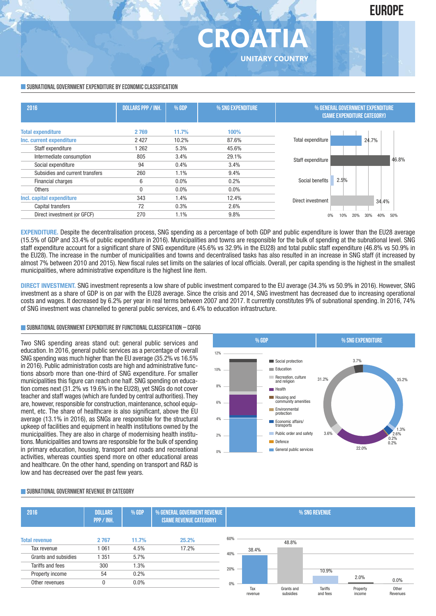**SUBNATIONAL GOVERNMENT EXPENDITURE BY ECONOMIC CLASSIFICATION** 

| 2016                            | <b>DOLLARS PPP / INH.</b> | $%$ GDP | % SNG EXPENDITURE | % GENERAL GOVERNMENT EXPENDITURE<br><b>(SAME EXPENDITURE CATEGORY)</b> |  |  |
|---------------------------------|---------------------------|---------|-------------------|------------------------------------------------------------------------|--|--|
| <b>Total expenditure</b>        | 2769                      | 11.7%   | 100%              |                                                                        |  |  |
| Inc. current expenditure        | 2 4 2 7                   | 10.2%   | 87.6%             | Total expenditure<br>24.7%                                             |  |  |
| Staff expenditure               | 1262                      | 5.3%    | 45.6%             |                                                                        |  |  |
| Intermediate consumption        | 805                       | 3.4%    | 29.1%             | 46.8%<br>Staff expenditure                                             |  |  |
| Social expenditure              | 94                        | 0.4%    | 3.4%              |                                                                        |  |  |
| Subsidies and current transfers | 260                       | 1.1%    | 9.4%              |                                                                        |  |  |
| Financial charges               | 6                         | $0.0\%$ | 0.2%              | 2.5%<br>Social benefits                                                |  |  |
| <b>Others</b>                   | N                         | $0.0\%$ | 0.0%              |                                                                        |  |  |
| Incl. capital expenditure       | 343                       | 1.4%    | 12.4%             | Direct investment<br>34.4%                                             |  |  |
| Capital transfers               | 72                        | 0.3%    | 2.6%              |                                                                        |  |  |
| Direct investment (or GFCF)     | 270                       | 1.1%    | 9.8%              | 40%<br>50%<br>30%<br>10%<br>20%                                        |  |  |

**CROATI** 

**UNITARY COUNTRY**

**EXPENDITURE.** Despite the decentralisation process, SNG spending as a percentage of both GDP and public expenditure is lower than the EU28 average (15.5% of GDP and 33.4% of public expenditure in 2016). Municipalities and towns are responsible for the bulk of spending at the subnational level. SNG staff expenditure account for a significant share of SNG expenditure (45.6% vs 32.9% in the EU28) and total public staff expenditure (46.8% vs 50.9% in the EU28). The increase in the number of municipalities and towns and decentralised tasks has also resulted in an increase in SNG staff (it increased by almost 7% between 2010 and 2015). New fiscal rules set limits on the salaries of local officials. Overall, per capita spending is the highest in the smallest municipalities, where administrative expenditure is the highest line item.

**DIRECT INVESTMENT.** SNG investment represents a low share of public investment compared to the EU average (34.3% vs 50.9% in 2016). However, SNG investment as a share of GDP is on par with the EU28 average. Since the crisis and 2014, SNG investment has decreased due to increasing operational costs and wages. It decreased by 6.2% per year in real terms between 2007 and 2017. It currently constitutes 9% of subnational spending. In 2016, 74% of SNG investment was channelled to general public services, and 6.4% to education infrastructure.

## **SUBNATIONALGOVERNMENTEXPENDITURE BYFUNCTIONALCLASSIFICATION – COFOG**

Two SNG spending areas stand out: general public services and education. In 2016, general public services as a percentage of overall SNG spending was much higher than the EU average (35.2% vs 16.5% in 2016). Public administration costs are high and administrative functions absorb more than one-third of SNG expenditure. For smaller municipalities this figure can reach one half. SNG spending on education comes next (31.2% vs 19.6% in the EU28), yet SNGs do not cover teacher and staff wages (which are funded by central authorities). They are, however, responsible for construction, maintenance, school equipment, etc. The share of healthcare is also significant, above the EU average (13.1% in 2016), as SNGs are responsible for the structural upkeep of facilities and equipment in health institutions owned by the municipalities. They are also in charge of modernising health institutions. Municipalities and towns are responsible for the bulk of spending in primary education, housing, transport and roads and recreational activities, whereas counties spend more on other educational areas and healthcare. On the other hand, spending on transport and R&D is low and has decreased over the past few years.



### **SUBNATIONALGOVERNMENT REVENUE BYCATEGORY**

| 2016                 | <b>DOLLARS</b><br>PPP / INH. | % GDP   | % GENERAL GOVERMENT REVENUE<br>(SAME REVENUE CATEGORY) |     | % SNG REVENUE  |                         |                     |                    |                   |
|----------------------|------------------------------|---------|--------------------------------------------------------|-----|----------------|-------------------------|---------------------|--------------------|-------------------|
| <b>Total revenue</b> | 2767                         | 11.7%   | 25.2%                                                  | 60% |                | 48.8%                   |                     |                    |                   |
| Tax revenue          | 1061                         | 4.5%    | 17.2%                                                  |     | 38.4%          |                         |                     |                    |                   |
| Grants and subsidies | 1 351                        | 5.7%    |                                                        | 40% |                |                         |                     |                    |                   |
| Tariffs and fees     | 300                          | 1.3%    |                                                        | 20% |                |                         |                     |                    |                   |
| Property income      | 54                           | 0.2%    |                                                        |     |                |                         | 10.9%               |                    |                   |
| Other revenues       | 0                            | $0.0\%$ |                                                        | 0%  |                |                         |                     | 2.0%               | $0.0\%$           |
|                      |                              |         |                                                        |     | Tax<br>revenue | Grants and<br>subsidies | Tariffs<br>and fees | Property<br>income | Other<br>Revenues |